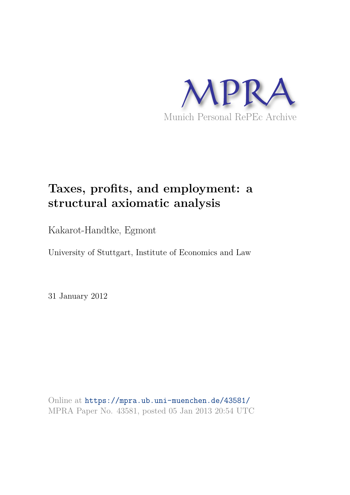

# **Taxes, profits, and employment: a structural axiomatic analysis**

Kakarot-Handtke, Egmont

University of Stuttgart, Institute of Economics and Law

31 January 2012

Online at https://mpra.ub.uni-muenchen.de/43581/ MPRA Paper No. 43581, posted 05 Jan 2013 20:54 UTC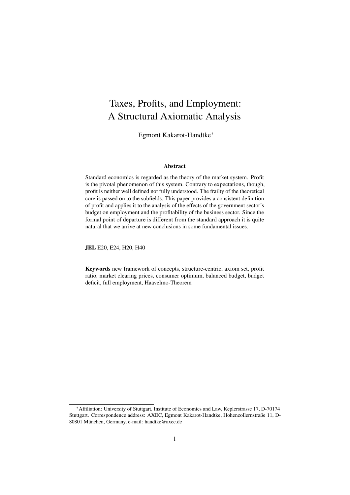# Taxes, Profits, and Employment: A Structural Axiomatic Analysis

Egmont Kakarot-Handtke\*

#### Abstract

Standard economics is regarded as the theory of the market system. Profit is the pivotal phenomenon of this system. Contrary to expectations, though, profit is neither well defined not fully understood. The frailty of the theoretical core is passed on to the subfields. This paper provides a consistent definition of profit and applies it to the analysis of the effects of the government sector's budget on employment and the profitability of the business sector. Since the formal point of departure is different from the standard approach it is quite natural that we arrive at new conclusions in some fundamental issues.

JEL E20, E24, H20, H40

Keywords new framework of concepts, structure-centric, axiom set, profit ratio, market clearing prices, consumer optimum, balanced budget, budget deficit, full employment, Haavelmo-Theorem

<sup>\*</sup>Affiliation: University of Stuttgart, Institute of Economics and Law, Keplerstrasse 17, D-70174 Stuttgart. Correspondence address: AXEC, Egmont Kakarot-Handtke, Hohenzollernstraße 11, D-80801 München, Germany, e-mail: handtke@axec.de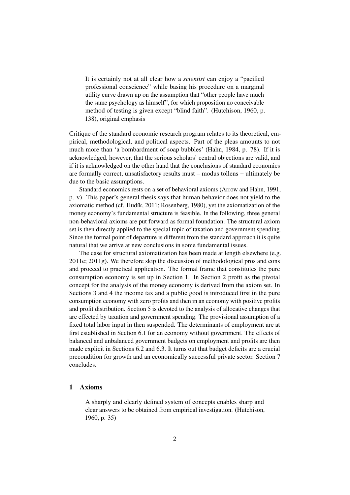It is certainly not at all clear how a *scientist* can enjoy a "pacified professional conscience" while basing his procedure on a marginal utility curve drawn up on the assumption that "other people have much the same psychology as himself", for which proposition no conceivable method of testing is given except "blind faith". (Hutchison, 1960, p. 138), original emphasis

Critique of the standard economic research program relates to its theoretical, empirical, methodological, and political aspects. Part of the pleas amounts to not much more than 'a bombardment of soap bubbles' (Hahn, 1984, p. 78). If it is acknowledged, however, that the serious scholars' central objections are valid, and if it is acknowledged on the other hand that the conclusions of standard economics are formally correct, unsatisfactory results must – modus tollens − ultimately be due to the basic assumptions.

Standard economics rests on a set of behavioral axioms (Arrow and Hahn, 1991, p. v). This paper's general thesis says that human behavior does not yield to the axiomatic method (cf. Hudík, 2011; Rosenberg, 1980), yet the axiomatization of the money economy's fundamental structure is feasible. In the following, three general non-behavioral axioms are put forward as formal foundation. The structural axiom set is then directly applied to the special topic of taxation and government spending. Since the formal point of departure is different from the standard approach it is quite natural that we arrive at new conclusions in some fundamental issues.

The case for structural axiomatization has been made at length elsewhere (e.g. 2011e; 2011g). We therefore skip the discussion of methodological pros and cons and proceed to practical application. The formal frame that constitutes the pure consumption economy is set up in Section 1. In Section 2 profit as the pivotal concept for the analysis of the money economy is derived from the axiom set. In Sections 3 and 4 the income tax and a public good is introduced first in the pure consumption economy with zero profits and then in an economy with positive profits and profit distribution. Section 5 is devoted to the analysis of allocative changes that are effected by taxation and government spending. The provisional assumption of a fixed total labor input in then suspended. The determinants of employment are at first established in Section 6.1 for an economy without government. The effects of balanced and unbalanced government budgets on employment and profits are then made explicit in Sections 6.2 and 6.3. It turns out that budget deficits are a crucial precondition for growth and an economically successful private sector. Section 7 concludes.

#### 1 Axioms

A sharply and clearly defined system of concepts enables sharp and clear answers to be obtained from empirical investigation. (Hutchison, 1960, p. 35)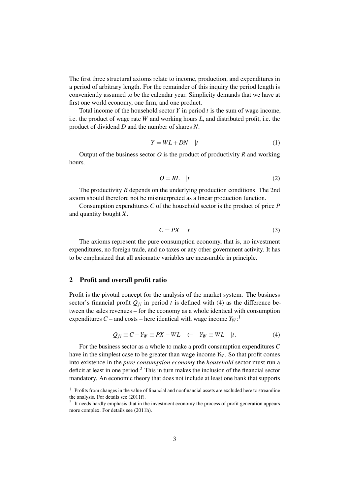The first three structural axioms relate to income, production, and expenditures in a period of arbitrary length. For the remainder of this inquiry the period length is conveniently assumed to be the calendar year. Simplicity demands that we have at first one world economy, one firm, and one product.

Total income of the household sector *Y* in period *t* is the sum of wage income, i.e. the product of wage rate *W* and working hours *L*, and distributed profit, i.e. the product of dividend *D* and the number of shares *N*.

$$
Y = WL + DN \quad |t \tag{1}
$$

Output of the business sector  $O$  is the product of productivity  $R$  and working hours.

$$
O = RL \quad |t \tag{2}
$$

The productivity *R* depends on the underlying production conditions. The 2nd axiom should therefore not be misinterpreted as a linear production function.

Consumption expenditures *C* of the household sector is the product of price *P* and quantity bought *X*.

$$
C = PX \t|t \t(3)
$$

The axioms represent the pure consumption economy, that is, no investment expenditures, no foreign trade, and no taxes or any other government activity. It has to be emphasized that all axiomatic variables are measurable in principle.

#### 2 Profit and overall profit ratio

Profit is the pivotal concept for the analysis of the market system. The business sector's financial profit  $Q_{fi}$  in period *t* is defined with (4) as the difference between the sales revenues – for the economy as a whole identical with consumption expenditures  $C$  – and costs – here identical with wage income  $Y_W$ :<sup>1</sup>

$$
Q_{fi} \equiv C - Y_W \equiv PX - WL \quad \leftarrow \quad Y_W \equiv WL \quad |t. \tag{4}
$$

For the business sector as a whole to make a profit consumption expenditures *C* have in the simplest case to be greater than wage income *Y<sup>W</sup>* . So that profit comes into existence in the *pure consumption economy* the *household* sector must run a deficit at least in one period.<sup>2</sup> This in turn makes the inclusion of the financial sector mandatory. An economic theory that does not include at least one bank that supports

<sup>1</sup> Profits from changes in the value of financial and nonfinancial assets are excluded here to streamline the analysis. For details see (2011f).

<sup>&</sup>lt;sup>2</sup> It needs hardly emphasis that in the investment economy the process of profit generation appears more complex. For details see (2011h).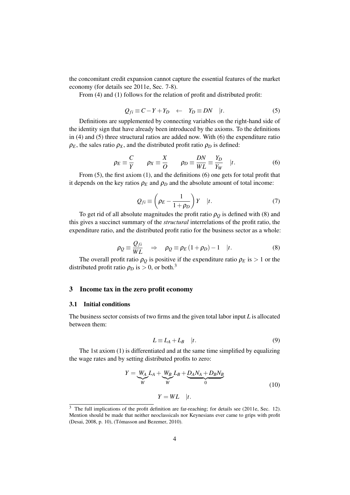the concomitant credit expansion cannot capture the essential features of the market economy (for details see 2011e, Sec. 7-8).

From (4) and (1) follows for the relation of profit and distributed profit:

$$
Q_{fi} \equiv C - Y + Y_D \quad \leftarrow \quad Y_D \equiv DN \quad |t. \tag{5}
$$

Definitions are supplemented by connecting variables on the right-hand side of the identity sign that have already been introduced by the axioms. To the definitions in (4) and (5) three structural ratios are added now. With (6) the expenditure ratio  $\rho_E$ , the sales ratio  $\rho_X$ , and the distributed profit ratio  $\rho_D$  is defined:

$$
\rho_E \equiv \frac{C}{Y} \qquad \rho_X \equiv \frac{X}{O} \qquad \rho_D \equiv \frac{DN}{WL} \equiv \frac{Y_D}{Y_W} \quad |t. \tag{6}
$$

From (5), the first axiom (1), and the definitions (6) one gets for total profit that it depends on the key ratios  $\rho_E$  and  $\rho_D$  and the absolute amount of total income:

$$
Q_{fi} \equiv \left(\rho_E - \frac{1}{1 + \rho_D}\right) Y \quad |t. \tag{7}
$$

To get rid of all absolute magnitudes the profit ratio  $\rho_Q$  is defined with (8) and this gives a succinct summary of the *structural* interrelations of the profit ratio, the expenditure ratio, and the distributed profit ratio for the business sector as a whole:

$$
\rho_Q \equiv \frac{Q_{fi}}{WL} \quad \Rightarrow \quad \rho_Q \equiv \rho_E \left( 1 + \rho_D \right) - 1 \quad |t. \tag{8}
$$

The overall profit ratio  $\rho_Q$  is positive if the expenditure ratio  $\rho_E$  is  $> 1$  or the distributed profit ratio  $\rho_D$  is  $> 0$ , or both.<sup>3</sup>

#### 3 Income tax in the zero profit economy

#### 3.1 Initial conditions

The business sector consists of two firms and the given total labor input *L* is allocated between them:

$$
L \equiv L_A + L_B \quad |t. \tag{9}
$$

The 1st axiom (1) is differentiated and at the same time simplified by equalizing the wage rates and by setting distributed profits to zero:

$$
Y = \underbrace{W_A}_{W} L_A + \underbrace{W_B}_{W} L_B + \underbrace{D_A N_A + D_B N_B}_{0}
$$
  
(10)  

$$
Y = WL \quad |t.
$$

<sup>&</sup>lt;sup>3</sup> The full implications of the profit definition are far-reaching; for details see (2011e, Sec. 12). Mention should be made that neither neoclassicals nor Keynesians ever came to grips with profit (Desai, 2008, p. 10), (Tómasson and Bezemer, 2010).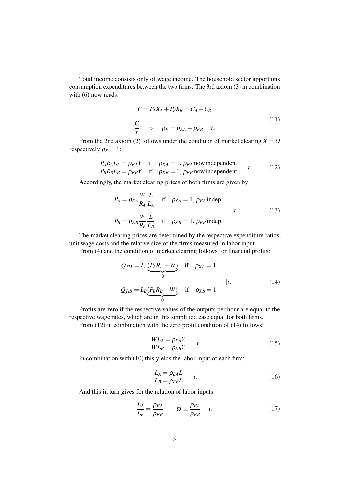Total income consists only of wage income. The household sector apportions consumption expenditures between the two firms. The 3rd axiom (3) in combination with (6) now reads:

$$
C = P_A X_A + P_B X_B = C_A + C_B
$$
  
\n
$$
\frac{C}{Y} \Rightarrow \rho_E = \rho_{EA} + \rho_{EB} \quad |t. \tag{11}
$$

From the 2nd axiom (2) follows under the condition of market clearing  $X = 0$ respectively  $\rho_X = 1$ :

$$
P_{A}R_{A}L_{A} = \rho_{EA}Y \quad \text{if} \quad \rho_{XA} = 1, \rho_{EA} \text{ now independent}
$$
  
\n
$$
P_{B}R_{B}L_{B} = \rho_{EB}Y \quad \text{if} \quad \rho_{XB} = 1, \rho_{EB} \text{ now independent}
$$
 (12)

Accordingly, the market clearing prices of both firms are given by:

$$
P_A = \rho_{EA} \frac{W}{R_A} \frac{L}{L_A} \quad \text{if} \quad \rho_{XA} = 1, \rho_{EA} \text{ indep.}
$$
\n
$$
P_B = \rho_{EB} \frac{W}{R_B} \frac{L}{L_B} \quad \text{if} \quad \rho_{XB} = 1, \rho_{EB} \text{ indep.}
$$
\n(13)

The market clearing prices are determined by the respective expenditure ratios, unit wage costs and the relative size of the firms measured in labor input.

From (4) and the condition of market clearing follows for financial profits:

$$
Q_{fiA} = L_A \underbrace{(P_A R_A - W)}_{0} \quad \text{if} \quad \rho_{XA} = 1
$$
\n
$$
Q_{fiB} = L_B \underbrace{(P_B R_B - W)}_{0} \quad \text{if} \quad \rho_{XB} = 1
$$
\n(14)

Profits are zero if the respective values of the outputs per hour are equal to the respective wage rates, which are in this simplified case equal for both firms.

From (12) in combination with the zero profit condition of (14) follows:

$$
WL_A = \rho_{EA} Y WL_B = \rho_{EB} Y \qquad |t.
$$
 (15)

In combination with (10) this yields the labor input of each firm:

$$
L_A = \rho_{EA} L
$$
  
\n
$$
L_B = \rho_{EB} L
$$
 |t. (16)

And this in turn gives for the relation of labor inputs:

$$
\frac{L_A}{L_B} = \frac{\rho_{EA}}{\rho_{EB}} \qquad \varpi \equiv \frac{\rho_{EA}}{\rho_{EB}} \qquad |t. \tag{17}
$$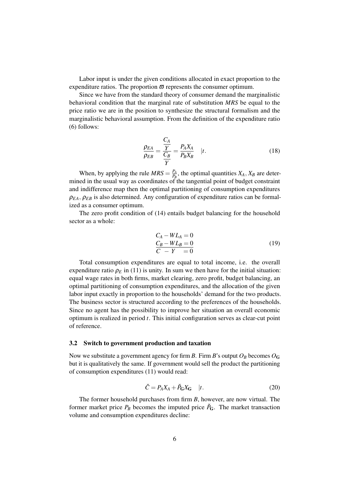Labor input is under the given conditions allocated in exact proportion to the expenditure ratios. The proportion  $\bar{\omega}$  represents the consumer optimum.

Since we have from the standard theory of consumer demand the marginalistic behavioral condition that the marginal rate of substitution *MRS* be equal to the price ratio we are in the position to synthesize the structural formalism and the marginalistic behavioral assumption. From the definition of the expenditure ratio (6) follows:

$$
\frac{\rho_{EA}}{\rho_{EB}} = \frac{\frac{C_A}{Y}}{\frac{C_B}{Y}} = \frac{P_A X_A}{P_B X_B} \quad |t.
$$
\n(18)

When, by applying the rule  $MRS = \frac{P_A}{P_R}$  $\frac{P_A}{P_B}$ , the optimal quantities  $X_A$ ,  $X_B$  are determined in the usual way as coordinates of the tangential point of budget constraint and indifference map then the optimal partitioning of consumption expenditures  $\rho_{EA}$ ,  $\rho_{EB}$  is also determined. Any configuration of expenditure ratios can be formalized as a consumer optimum.

The zero profit condition of (14) entails budget balancing for the household sector as a whole:

$$
C_A - WL_A = 0
$$
  
\n
$$
C_B - WL_B = 0
$$
  
\n
$$
C - Y = 0
$$
\n(19)

Total consumption expenditures are equal to total income, i.e. the overall expenditure ratio  $\rho_E$  in (11) is unity. In sum we then have for the initial situation: equal wage rates in both firms, market clearing, zero profit, budget balancing, an optimal partitioning of consumption expenditures, and the allocation of the given labor input exactly in proportion to the households' demand for the two products. The business sector is structured according to the preferences of the households. Since no agent has the possibility to improve her situation an overall economic optimum is realized in period *t*. This initial configuration serves as clear-cut point of reference.

#### 3.2 Switch to government production and taxation

Now we substitute a government agency for firm *B*. Firm *B*'s output  $O_B$  becomes  $O_G$ but it is qualitatively the same. If government would sell the product the partitioning of consumption expenditures (11) would read:

$$
\breve{C} = P_A X_A + \breve{P}_{\mathbf{G}} X_{\mathbf{G}} \quad |t. \tag{20}
$$

The former household purchases from firm *B*, however, are now virtual. The former market price  $P_B$  becomes the imputed price  $\tilde{P}_G$ . The market transaction volume and consumption expenditures decline: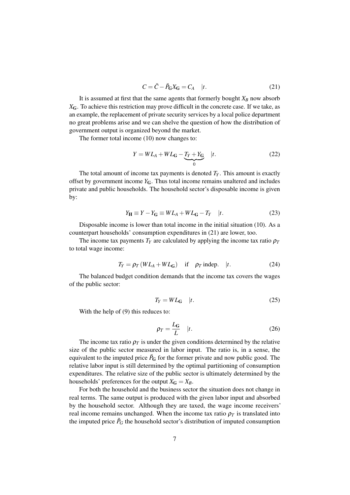$$
C = \check{C} - \check{P}_{\mathbf{G}} X_{\mathbf{G}} = C_A \quad |t. \tag{21}
$$

It is assumed at first that the same agents that formerly bought  $X_B$  now absorb *X*G. To achieve this restriction may prove difficult in the concrete case. If we take, as an example, the replacement of private security services by a local police department no great problems arise and we can shelve the question of how the distribution of government output is organized beyond the market.

The former total income (10) now changes to:

$$
Y = WL_A + WL_G - \underbrace{T_Y + Y_G}_{0} \quad |t. \tag{22}
$$

The total amount of income tax payments is denoted  $T_Y$ . This amount is exactly offset by government income *Y*G. Thus total income remains unaltered and includes private and public households. The household sector's disposable income is given by:

$$
Y_{\mathbf{H}} \equiv Y - Y_{\mathbf{G}} \equiv WL_A + WL_{\mathbf{G}} - T_Y \quad |t. \tag{23}
$$

Disposable income is lower than total income in the initial situation (10). As a counterpart households' consumption expenditures in (21) are lower, too.

The income tax payments  $T_Y$  are calculated by applying the income tax ratio  $\rho_T$ to total wage income:

$$
T_Y = \rho_T (WL_A + WL_G) \quad \text{if} \quad \rho_T \text{ indep.} \quad |t. \tag{24}
$$

The balanced budget condition demands that the income tax covers the wages of the public sector:

$$
T_Y = WL_{\mathbf{G}} \quad |t. \tag{25}
$$

With the help of (9) this reduces to:

$$
\rho_T = \frac{L_G}{L} \quad |t. \tag{26}
$$

The income tax ratio  $\rho_T$  is under the given conditions determined by the relative size of the public sector measured in labor input. The ratio is, in a sense, the equivalent to the imputed price  $\tilde{P}_{\rm G}$  for the former private and now public good. The relative labor input is still determined by the optimal partitioning of consumption expenditures. The relative size of the public sector is ultimately determined by the households' preferences for the output  $X_G = X_B$ .

For both the household and the business sector the situation does not change in real terms. The same output is produced with the given labor input and absorbed by the household sector. Although they are taxed, the wage income receivers' real income remains unchanged. When the income tax ratio  $\rho_T$  is translated into the imputed price  $\tilde{P}_G$  the household sector's distribution of imputed consumption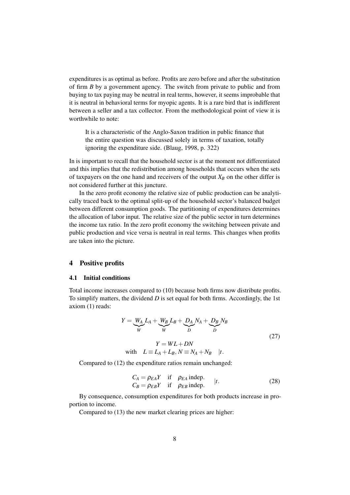expenditures is as optimal as before. Profits are zero before and after the substitution of firm *B* by a government agency. The switch from private to public and from buying to tax paying may be neutral in real terms, however, it seems improbable that it is neutral in behavioral terms for myopic agents. It is a rare bird that is indifferent between a seller and a tax collector. From the methodological point of view it is worthwhile to note:

It is a characteristic of the Anglo-Saxon tradition in public finance that the entire question was discussed solely in terms of taxation, totally ignoring the expenditure side. (Blaug, 1998, p. 322)

In is important to recall that the household sector is at the moment not differentiated and this implies that the redistribution among households that occurs when the sets of taxpayers on the one hand and receivers of the output  $X_B$  on the other differ is not considered further at this juncture.

In the zero profit economy the relative size of public production can be analytically traced back to the optimal split-up of the household sector's balanced budget between different consumption goods. The partitioning of expenditures determines the allocation of labor input. The relative size of the public sector in turn determines the income tax ratio. In the zero profit economy the switching between private and public production and vice versa is neutral in real terms. This changes when profits are taken into the picture.

#### 4 Positive profits

#### 4.1 Initial conditions

Total income increases compared to (10) because both firms now distribute profits. To simplify matters, the dividend *D* is set equal for both firms. Accordingly, the 1st axiom (1) reads:

$$
Y = \underbrace{W_A}_{W} L_A + \underbrace{W_B}_{W} L_B + \underbrace{D_A}_{D} N_A + \underbrace{D_B}_{D} N_B
$$
  
\n
$$
Y = WL + DN
$$
  
\nwith 
$$
L \equiv L_A + L_B, N \equiv N_A + N_B \quad |t.
$$
 (27)

Compared to (12) the expenditure ratios remain unchanged:

$$
C_A = \rho_{EA} Y \quad \text{if} \quad \rho_{EA} \text{ indep.} C_B = \rho_{EB} Y \quad \text{if} \quad \rho_{EB} \text{ indep.}
$$
 (28)

By consequence, consumption expenditures for both products increase in proportion to income.

Compared to (13) the new market clearing prices are higher: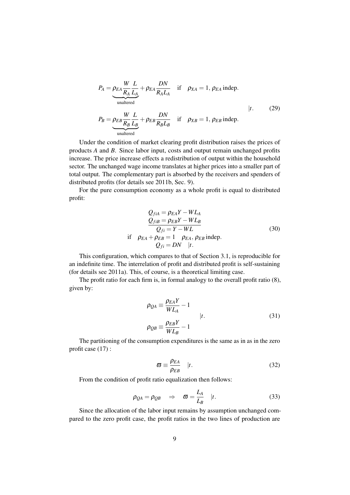$$
P_A = \underbrace{\rho_{EA} \frac{W}{R_A L_A}}_{\text{unaltered}} + \rho_{EA} \frac{DN}{R_A L_A} \quad \text{if} \quad \rho_{XA} = 1, \rho_{EA} \text{ indep.}
$$
\n
$$
P_B = \underbrace{\rho_{EB} \frac{W}{R_B L_B}}_{\text{unaltered}} + \rho_{EB} \frac{DN}{R_B L_B} \quad \text{if} \quad \rho_{XB} = 1, \rho_{EB} \text{ indep.}
$$
\n(29)

Under the condition of market clearing profit distribution raises the prices of products *A* and *B*. Since labor input, costs and output remain unchanged profits increase. The price increase effects a redistribution of output within the household sector. The unchanged wage income translates at higher prices into a smaller part of total output. The complementary part is absorbed by the receivers and spenders of distributed profits (for details see 2011b, Sec. 9).

For the pure consumption economy as a whole profit is equal to distributed profit:

$$
Q_{fia} = \rho_{EA}Y - WL_A
$$
  
\n
$$
Q_{fib} = \rho_{EB}Y - WL_B
$$
  
\n
$$
Q_{fi} = Y - WL
$$
  
\nif  $\rho_{EA} + \rho_{EB} = 1$   $\rho_{EA}$ ,  $\rho_{EB}$  indep.  
\n
$$
Q_{fi} = DN \quad |t.
$$
\n(30)

This configuration, which compares to that of Section 3.1, is reproducible for an indefinite time. The interrelation of profit and distributed profit is self-sustaining (for details see 2011a). This, of course, is a theoretical limiting case.

The profit ratio for each firm is, in formal analogy to the overall profit ratio (8), given by:

$$
\rho_{QA} \equiv \frac{\rho_{EA}Y}{WL_A} - 1
$$
  
\n
$$
\rho_{QB} \equiv \frac{\rho_{EB}Y}{WL_B} - 1
$$
\n(31)

The partitioning of the consumption expenditures is the same as in as in the zero profit case  $(17)$ :

$$
\varpi \equiv \frac{\rho_{EA}}{\rho_{EB}} \quad |t. \tag{32}
$$

From the condition of profit ratio equalization then follows:

$$
\rho_{QA} = \rho_{QB} \quad \Rightarrow \quad \varpi = \frac{L_A}{L_B} \quad |t. \tag{33}
$$

Since the allocation of the labor input remains by assumption unchanged compared to the zero profit case, the profit ratios in the two lines of production are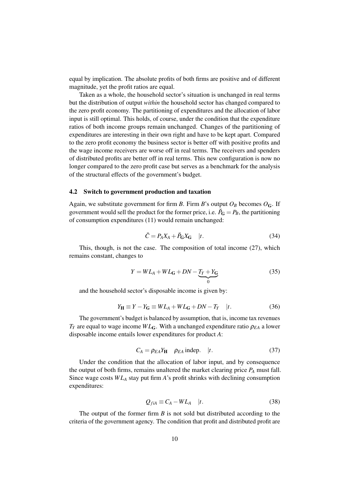equal by implication. The absolute profits of both firms are positive and of different magnitude, yet the profit ratios are equal.

Taken as a whole, the household sector's situation is unchanged in real terms but the distribution of output *within* the household sector has changed compared to the zero profit economy. The partitioning of expenditures and the allocation of labor input is still optimal. This holds, of course, under the condition that the expenditure ratios of both income groups remain unchanged. Changes of the partitioning of expenditures are interesting in their own right and have to be kept apart. Compared to the zero profit economy the business sector is better off with positive profits and the wage income receivers are worse off in real terms. The receivers and spenders of distributed profits are better off in real terms. This new configuration is now no longer compared to the zero profit case but serves as a benchmark for the analysis of the structural effects of the government's budget.

#### 4.2 Switch to government production and taxation

Again, we substitute government for firm *B*. Firm *B*'s output  $O_B$  becomes  $O_G$ . If government would sell the product for the former price, i.e.  $\ddot{P}_{G} = P_{B}$ , the partitioning of consumption expenditures (11) would remain unchanged:

$$
\breve{C} = P_A X_A + \breve{P}_{\mathbf{G}} X_{\mathbf{G}} \quad |t. \tag{34}
$$

This, though, is not the case. The composition of total income (27), which remains constant, changes to

$$
Y = WL_A + WL_G + DN - \underbrace{T_Y + Y_G}_0 \tag{35}
$$

and the household sector's disposable income is given by:

$$
Y_{\mathbf{H}} \equiv Y - Y_{\mathbf{G}} \equiv WL_A + WL_{\mathbf{G}} + DN - T_Y \quad |t. \tag{36}
$$

The government's budget is balanced by assumption, that is, income tax revenues  $T_Y$  are equal to wage income  $WL_G$ . With a unchanged expenditure ratio  $\rho_{EA}$  a lower disposable income entails lower expenditures for product *A*:

$$
C_A = \rho_{EA} Y_H \quad \rho_{EA} \text{ indep.} \quad |t. \tag{37}
$$

Under the condition that the allocation of labor input, and by consequence the output of both firms, remains unaltered the market clearing price *P<sup>A</sup>* must fall. Since wage costs *W L<sup>A</sup>* stay put firm *A*'s profit shrinks with declining consumption expenditures:

$$
Q_{fiA} \equiv C_A - WL_A \quad |t. \tag{38}
$$

The output of the former firm *B* is not sold but distributed according to the criteria of the government agency. The condition that profit and distributed profit are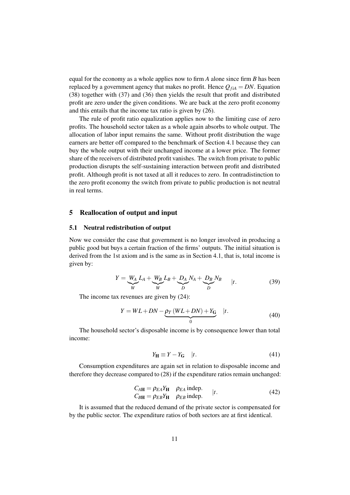equal for the economy as a whole applies now to firm *A* alone since firm *B* has been replaced by a government agency that makes no profit. Hence  $Q_{fiA} = DN$ . Equation (38) together with (37) and (36) then yields the result that profit and distributed profit are zero under the given conditions. We are back at the zero profit economy and this entails that the income tax ratio is given by (26).

The rule of profit ratio equalization applies now to the limiting case of zero profits. The household sector taken as a whole again absorbs to whole output. The allocation of labor input remains the same. Without profit distribution the wage earners are better off compared to the benchmark of Section 4.1 because they can buy the whole output with their unchanged income at a lower price. The former share of the receivers of distributed profit vanishes. The switch from private to public production disrupts the self-sustaining interaction between profit and distributed profit. Although profit is not taxed at all it reduces to zero. In contradistinction to the zero profit economy the switch from private to public production is not neutral in real terms.

#### 5 Reallocation of output and input

#### 5.1 Neutral redistribution of output

Now we consider the case that government is no longer involved in producing a public good but buys a certain fraction of the firms' outputs. The initial situation is derived from the 1st axiom and is the same as in Section 4.1, that is, total income is given by:

$$
Y = \underbrace{W_A}_{W} L_A + \underbrace{W_B}_{W} L_B + \underbrace{D_A}_{D} N_A + \underbrace{D_B}_{D} N_B \qquad |t. \tag{39}
$$

The income tax revenues are given by (24):

$$
Y = WL + DN - \underbrace{\rho_T (WL + DN) + Y_G}_{0} \quad |t. \tag{40}
$$

The household sector's disposable income is by consequence lower than total income:

$$
Y_{\mathbf{H}} \equiv Y - Y_{\mathbf{G}} \quad |t. \tag{41}
$$

Consumption expenditures are again set in relation to disposable income and therefore they decrease compared to (28) if the expenditure ratios remain unchanged:

$$
C_{AH} = \rho_{EA} Y_H \quad \rho_{EA} \text{ indep.}
$$
  
\n
$$
C_{BH} = \rho_{EB} Y_H \quad \rho_{EB} \text{ indep.}
$$
 (42)

It is assumed that the reduced demand of the private sector is compensated for by the public sector. The expenditure ratios of both sectors are at first identical.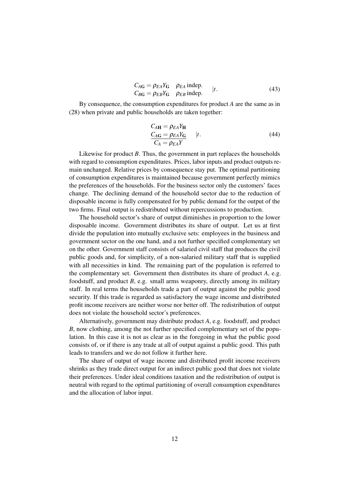$$
C_{AG} = \rho_{EA} Y_G \quad \rho_{EA} \text{ indep.}
$$
  
\n
$$
C_{BG} = \rho_{EB} Y_G \quad \rho_{EB} \text{ indep.}
$$
 (43)

By consequence, the consumption expenditures for product *A* are the same as in (28) when private and public households are taken together:

$$
C_{A\mathbf{H}} = \rho_{EA} Y_{\mathbf{H}}
$$
  
\n
$$
C_{A\mathbf{G}} = \rho_{EA} Y_{\mathbf{G}}
$$
 |t. (44)

Likewise for product *B*. Thus, the government in part replaces the households with regard to consumption expenditures. Prices, labor inputs and product outputs remain unchanged. Relative prices by consequence stay put. The optimal partitioning of consumption expenditures is maintained because government perfectly mimics the preferences of the households. For the business sector only the customers' faces change. The declining demand of the household sector due to the reduction of disposable income is fully compensated for by public demand for the output of the two firms. Final output is redistributed without repercussions to production.

The household sector's share of output diminishes in proportion to the lower disposable income. Government distributes its share of output. Let us at first divide the population into mutually exclusive sets: employees in the business and government sector on the one hand, and a not further specified complementary set on the other. Government staff consists of salaried civil staff that produces the civil public goods and, for simplicity, of a non-salaried military staff that is supplied with all necessities in kind. The remaining part of the population is referred to the complementary set. Government then distributes its share of product *A*, e.g. foodstuff, and product *B*, e.g. small arms weaponry, directly among its military staff. In real terms the households trade a part of output against the public good security. If this trade is regarded as satisfactory the wage income and distributed profit income receivers are neither worse nor better off. The redistribution of output does not violate the household sector's preferences.

Alternatively, government may distribute product *A*, e.g. foodstuff, and product *B*, now clothing, among the not further specified complementary set of the population. In this case it is not as clear as in the foregoing in what the public good consists of, or if there is any trade at all of output against a public good. This path leads to transfers and we do not follow it further here.

The share of output of wage income and distributed profit income receivers shrinks as they trade direct output for an indirect public good that does not violate their preferences. Under ideal conditions taxation and the redistribution of output is neutral with regard to the optimal partitioning of overall consumption expenditures and the allocation of labor input.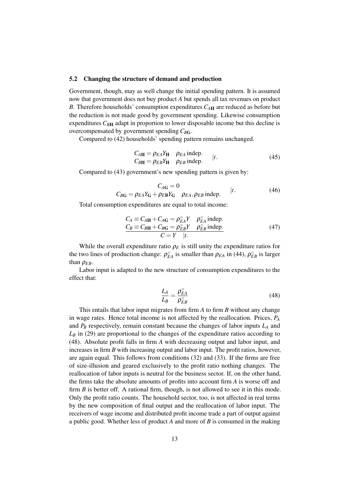#### 5.2 Changing the structure of demand and production

Government, though, may as well change the initial spending pattern. It is assumed now that government does not buy product *A* but spends all tax revenues on product *B*. Therefore households' consumption expenditures  $C_{AH}$  are reduced as before but the reduction is not made good by government spending. Likewise consumption expenditures  $C_{\text{BH}}$  adapt in proportion to lower disposable income but this decline is overcompensated by government spending  $C_{BG}$ .

Compared to (42) households' spending pattern remains unchanged.

$$
C_{AH} = \rho_{EA} Y_H \quad \rho_{EA} \text{ indep.}
$$
  
\n
$$
C_{BH} = \rho_{EB} Y_H \quad \rho_{EB} \text{ indep.}
$$
 (45)

Compared to (43) government's new spending pattern is given by:

$$
C_{\text{AG}} = 0
$$
  
\n
$$
C_{\text{BG}} = \rho_{EA} Y_{\text{G}} + \rho_{EB} Y_{\text{G}} \quad \rho_{EA}, \rho_{EB} \text{ indep.}
$$
 (46)

Total consumption expenditures are equal to total income:

$$
C_A \equiv C_{A\mathbf{H}} + C_{A\mathbf{G}} = \rho_{EA}^{\circ} Y \quad \rho_{EA}^{\circ} \text{ indep.}
$$
  
\n
$$
\frac{C_B \equiv C_{B\mathbf{H}} + C_{B\mathbf{G}} = \rho_{EB}^{\circ} Y \quad \rho_{EB}^{\circ} \text{ indep.}}{C = Y \quad |t.}
$$
\n(47)

While the overall expenditure ratio  $\rho_E$  is still unity the expenditure ratios for the two lines of production change:  $\rho_{EA}^{\circ}$  is smaller than  $\rho_{EA}$  in (44),  $\rho_{EB}^{\circ}$  is larger than <sup>ρ</sup>*EB*.

Labor input is adapted to the new structure of consumption expenditures to the effect that:

$$
\frac{L_A}{L_B} = \frac{\rho_{EA}^{\circ}}{\rho_{EB}^{\circ}}
$$
(48)

This entails that labor input migrates from firm *A* to firm *B* without any change in wage rates. Hence total income is not affected by the reallocation. Prices, *P<sup>A</sup>* and *P<sup>B</sup>* respectively, remain constant because the changes of labor inputs *L<sup>A</sup>* and  $L_B$  in (29) are proportional to the changes of the expenditure ratios according to (48). Absolute profit falls in firm *A* with decreasing output and labor input, and increases in firm *B* with increasing output and labor input. The profit ratios, however, are again equal. This follows from conditions (32) and (33). If the firms are free of size-illusion and geared exclusively to the profit ratio nothing changes. The reallocation of labor inputs is neutral for the business sector. If, on the other hand, the firms take the absolute amounts of profits into account firm *A* is worse off and firm *B* is better off. A rational firm, though, is not allowed to see it in this mode. Only the profit ratio counts. The household sector, too, is not affected in real terms by the new composition of final output and the reallocation of labor input. The receivers of wage income and distributed profit income trade a part of output against a public good. Whether less of product *A* and more of *B* is consumed in the making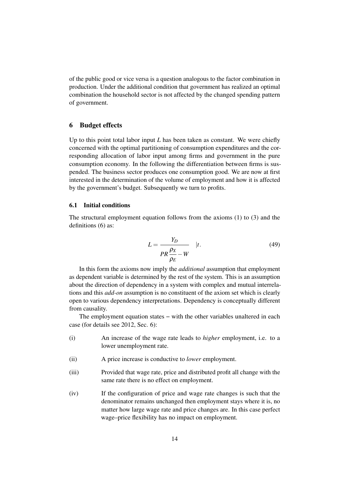of the public good or vice versa is a question analogous to the factor combination in production. Under the additional condition that government has realized an optimal combination the household sector is not affected by the changed spending pattern of government.

## 6 Budget effects

Up to this point total labor input *L* has been taken as constant. We were chiefly concerned with the optimal partitioning of consumption expenditures and the corresponding allocation of labor input among firms and government in the pure consumption economy. In the following the differentiation between firms is suspended. The business sector produces one consumption good. We are now at first interested in the determination of the volume of employment and how it is affected by the government's budget. Subsequently we turn to profits.

## 6.1 Initial conditions

The structural employment equation follows from the axioms (1) to (3) and the definitions (6) as:

$$
L = \frac{Y_D}{PR\frac{\rho_X}{\rho_E} - W} \quad |t. \tag{49}
$$

In this form the axioms now imply the *additional* assumption that employment as dependent variable is determined by the rest of the system. This is an assumption about the direction of dependency in a system with complex and mutual interrelations and this *add-on* assumption is no constituent of the axiom set which is clearly open to various dependency interpretations. Dependency is conceptually different from causality.

The employment equation states – with the other variables unaltered in each case (for details see 2012, Sec. 6):

- (i) An increase of the wage rate leads to *higher* employment, i.e. to a lower unemployment rate.
- (ii) A price increase is conductive to *lower* employment.
- (iii) Provided that wage rate, price and distributed profit all change with the same rate there is no effect on employment.
- (iv) If the configuration of price and wage rate changes is such that the denominator remains unchanged then employment stays where it is, no matter how large wage rate and price changes are. In this case perfect wage–price flexibility has no impact on employment.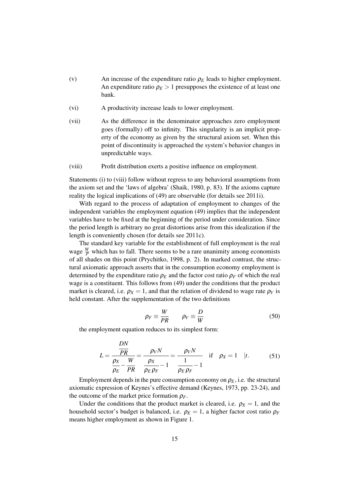- (v) An increase of the expenditure ratio  $\rho_E$  leads to higher employment. An expenditure ratio  $\rho_E > 1$  presupposes the existence of at least one bank.
- (vi) A productivity increase leads to lower employment.
- (vii) As the difference in the denominator approaches zero employment goes (formally) off to infinity. This singularity is an implicit property of the economy as given by the structural axiom set. When this point of discontinuity is approached the system's behavior changes in unpredictable ways.
- (viii) Profit distribution exerts a positive influence on employment.

Statements (i) to (viii) follow without regress to any behavioral assumptions from the axiom set and the 'laws of algebra' (Shaik, 1980, p. 83). If the axioms capture reality the logical implications of (49) are observable (for details see 2011i).

With regard to the process of adaptation of employment to changes of the independent variables the employment equation (49) implies that the independent variables have to be fixed at the beginning of the period under consideration. Since the period length is arbitrary no great distortions arise from this idealization if the length is conveniently chosen (for details see 2011c).

The standard key variable for the establishment of full employment is the real wage  $\frac{W}{P}$  which has to fall. There seems to be a rare unanimity among economists of all shades on this point (Prychitko, 1998, p. 2). In marked contrast, the structural axiomatic approach asserts that in the consumption economy employment is determined by the expenditure ratio  $\rho_F$  and the factor cost ratio  $\rho_F$  of which the real wage is a constituent. This follows from (49) under the conditions that the product market is cleared, i.e.  $\rho_X = 1$ , and that the relation of dividend to wage rate  $\rho_V$  is held constant. After the supplementation of the two definitions

$$
\rho_F \equiv \frac{W}{PR} \qquad \rho_V \equiv \frac{D}{W} \tag{50}
$$

the employment equation reduces to its simplest form:

$$
L = \frac{\frac{DN}{PR}}{\frac{\rho_X}{\rho_E} - \frac{W}{PR}} = \frac{\rho_V N}{\frac{\rho_X}{\rho_E \rho_F} - 1} = \frac{\rho_V N}{\frac{1}{\rho_E \rho_F} - 1} \quad \text{if} \quad \rho_X = 1 \quad |t. \tag{51}
$$

Employment depends in the pure consumption economy on  $\rho_E$ , i.e. the structural axiomatic expression of Keynes's effective demand (Keynes, 1973, pp. 23-24), and the outcome of the market price formation  $\rho_F$ .

Under the conditions that the product market is cleared, i.e.  $\rho_X = 1$ , and the household sector's budget is balanced, i.e.  $\rho_E = 1$ , a higher factor cost ratio  $\rho_F$ means higher employment as shown in Figure 1.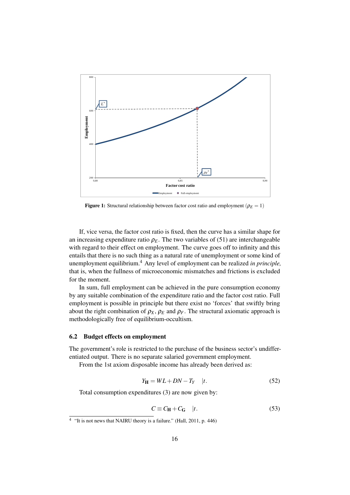

Figure 1: Structural relationship between factor cost ratio and employment ( $\rho_E = 1$ )

If, vice versa, the factor cost ratio is fixed, then the curve has a similar shape for an increasing expenditure ratio  $\rho_E$ . The two variables of (51) are interchangeable with regard to their effect on employment. The curve goes off to infinity and this entails that there is no such thing as a natural rate of unemployment or some kind of unemployment equilibrium.<sup>4</sup> Any level of employment can be realized *in principle,* that is, when the fullness of microeconomic mismatches and frictions is excluded for the moment.

In sum, full employment can be achieved in the pure consumption economy by any suitable combination of the expenditure ratio and the factor cost ratio. Full employment is possible in principle but there exist no 'forces' that swiftly bring about the right combination of  $\rho_X$ ,  $\rho_E$  and  $\rho_F$ . The structural axiomatic approach is methodologically free of equilibrium-occultism.

#### 6.2 Budget effects on employment

The government's role is restricted to the purchase of the business sector's undifferentiated output. There is no separate salaried government employment.

From the 1st axiom disposable income has already been derived as:

$$
Y_{\mathbf{H}} = WL + DN - T_Y \quad |t. \tag{52}
$$

Total consumption expenditures (3) are now given by:

$$
C \equiv C_{\mathbf{H}} + C_{\mathbf{G}} \quad |t. \tag{53}
$$

<sup>&</sup>lt;sup>4</sup> "It is not news that NAIRU theory is a failure." (Hall, 2011, p. 446)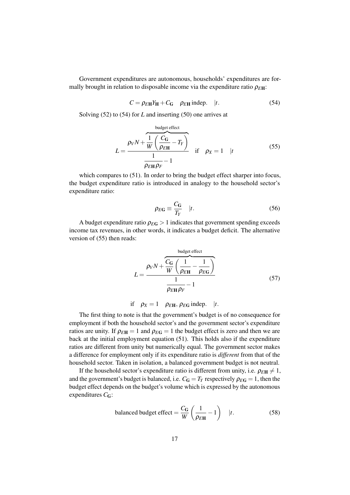Government expenditures are autonomous, households' expenditures are formally brought in relation to disposable income via the expenditure ratio  $\rho_{EH}$ :

$$
C = \rho_{EH} Y_H + C_G \quad \rho_{EH} \text{ indep. } |t. \tag{54}
$$

Solving (52) to (54) for *L* and inserting (50) one arrives at

$$
L = \frac{\rho_V N + \frac{1}{W} \left( \frac{C_{\text{G}}}{\rho_{EH}} - T_Y \right)}{\frac{1}{\rho_{EH} \rho_F} - 1}
$$
 if  $\rho_X = 1$  |t (55)

which compares to  $(51)$ . In order to bring the budget effect sharper into focus, the budget expenditure ratio is introduced in analogy to the household sector's expenditure ratio:

$$
\rho_{E\mathbf{G}} \equiv \frac{C_{\mathbf{G}}}{T_Y} \quad |t. \tag{56}
$$

A budget expenditure ratio  $\rho_{EG} > 1$  indicates that government spending exceeds income tax revenues, in other words, it indicates a budget deficit. The alternative version of (55) then reads:

$$
L = \frac{\rho_V N + \frac{C_G}{W} \left(\frac{1}{\rho_{EH}} - \frac{1}{\rho_{EG}}\right)}{\frac{1}{\rho_{EH}\rho_F} - 1}
$$
(57)

if 
$$
\rho_X = 1
$$
  $\rho_{EH}$ ,  $\rho_{EG}$  indep. |t.

The first thing to note is that the government's budget is of no consequence for employment if both the household sector's and the government sector's expenditure ratios are unity. If  $\rho_{EH} = 1$  and  $\rho_{EG} = 1$  the budget effect is zero and then we are back at the initial employment equation (51). This holds also if the expenditure ratios are different from unity but numerically equal. The government sector makes a difference for employment only if its expenditure ratio is *different* from that of the household sector. Taken in isolation, a balanced government budget is not neutral.

If the household sector's expenditure ratio is different from unity, i.e.  $\rho_{EH} \neq 1$ , and the government's budget is balanced, i.e.  $C_{\mathbf{G}} = T_Y$  respectively  $\rho_{EG} = 1$ , then the budget effect depends on the budget's volume which is expressed by the autonomous expenditures *C*G:

balanced budget effect = 
$$
\frac{C_G}{W} \left( \frac{1}{\rho_{EH}} - 1 \right)
$$
 |t. (58)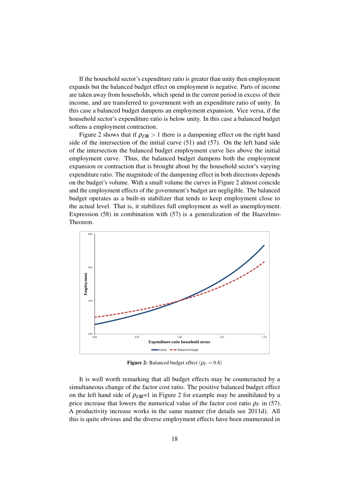If the household sector's expenditure ratio is greater than unity then employment expands but the balanced budget effect on employment is negative. Parts of income are taken away from households, which spend in the current period in excess of their income, and are transferred to government with an expenditure ratio of unity. In this case a balanced budget dampens an employment expansion. Vice versa, if the household sector's expenditure ratio is below unity. In this case a balanced budget softens a employment contraction.

Figure 2 shows that if  $\rho_{EH} > 1$  there is a dampening effect on the right hand side of the intersection of the initial curve (51) and (57). On the left hand side of the intersection the balanced budget employment curve lies above the initial employment curve. Thus, the balanced budget dampens both the employment expansion or contraction that is brought about by the household sector's varying expenditure ratio. The magnitude of the dampening effect in both directions depends on the budget's volume. With a small volume the curves in Figure 2 almost coincide and the employment effects of the government's budget are negligible. The balanced budget operates as a built-in stabilizer that tends to keep employment close to the actual level. That is, it stabilizes full employment as well as unemployment. Expression (58) in combination with (57) is a generalization of the Haavelmo-Theorem.



Figure 2: Balanced budget effect ( $\rho_F = 0.8$ )

It is well worth remarking that all budget effects may be counteracted by a simultaneous change of the factor cost ratio. The positive balanced budget effect on the left hand side of  $\rho_{EH}=1$  in Figure 2 for example may be annihilated by a price increase that lowers the numerical value of the factor cost ratio  $\rho_F$  in (57). A productivity increase works in the same manner (for details see 2011d). All this is quite obvious and the diverse employment effects have been enumerated in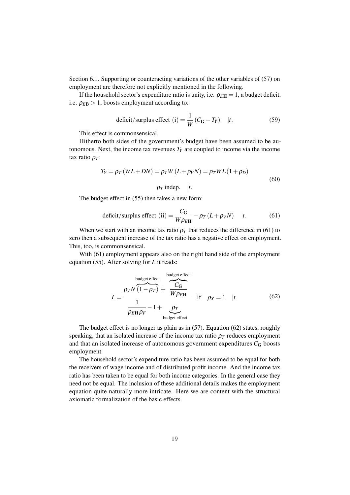Section 6.1. Supporting or counteracting variations of the other variables of (57) on employment are therefore not explicitly mentioned in the following.

If the household sector's expenditure ratio is unity, i.e.  $\rho_{EH} = 1$ , a budget deficit, i.e.  $\rho_{EB} > 1$ , boosts employment according to:

deficit/surplus effect (i) = 
$$
\frac{1}{W}(C_{\mathbf{G}} - T_Y)
$$
 |t. (59)

This effect is commonsensical.

Hitherto both sides of the government's budget have been assumed to be autonomous. Next, the income tax revenues  $T_Y$  are coupled to income via the income tax ratio  $\rho_T$ :

$$
T_Y = \rho_T (WL + DN) = \rho_T W (L + \rho_V N) = \rho_T WL (1 + \rho_D)
$$
  
\n
$$
\rho_T \text{ indep. } |t.
$$
 (60)

The budget effect in (55) then takes a new form:

$$
deficit/surplus effect (ii) = \frac{C_G}{W\rho_{EH}} - \rho_T (L + \rho_V N) \quad |t.
$$
 (61)

When we start with an income tax ratio  $\rho_T$  that reduces the difference in (61) to zero then a subsequent increase of the tax ratio has a negative effect on employment. This, too, is commonsensical.

With (61) employment appears also on the right hand side of the employment equation (55). After solving for *L* it reads:

budget effect  
\n
$$
L = \frac{\rho_V N (1 - \rho_T) + \frac{C_G}{W \rho_{EH}}}{\frac{1}{\rho_{EH} \rho_F} - 1 + \frac{\rho_T}{W \rho_{EHE}}}
$$
 if  $\rho_X = 1$  |t. (62)

The budget effect is no longer as plain as in (57). Equation (62) states, roughly speaking, that an isolated increase of the income tax ratio  $\rho_T$  reduces employment and that an isolated increase of autonomous government expenditures  $C_G$  boosts employment.

The household sector's expenditure ratio has been assumed to be equal for both the receivers of wage income and of distributed profit income. And the income tax ratio has been taken to be equal for both income categories. In the general case they need not be equal. The inclusion of these additional details makes the employment equation quite naturally more intricate. Here we are content with the structural axiomatic formalization of the basic effects.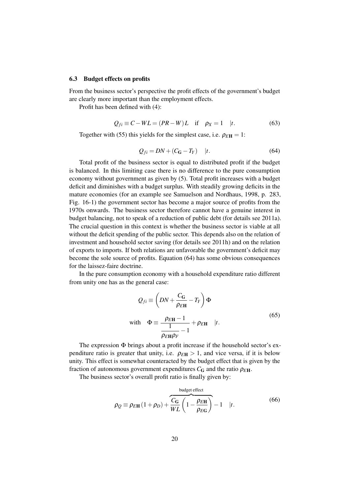#### 6.3 Budget effects on profits

From the business sector's perspective the profit effects of the government's budget are clearly more important than the employment effects.

Profit has been defined with (4):

$$
Q_{fi} \equiv C - WL = (PR - W)L \quad \text{if} \quad \rho_X = 1 \quad |t. \tag{63}
$$

Together with (55) this yields for the simplest case, i.e.  $\rho_{EH} = 1$ :

$$
Q_{fi} = DN + (C_{\mathbf{G}} - T_Y) \quad |t. \tag{64}
$$

Total profit of the business sector is equal to distributed profit if the budget is balanced. In this limiting case there is no difference to the pure consumption economy without government as given by (5). Total profit increases with a budget deficit and diminishes with a budget surplus. With steadily growing deficits in the mature economies (for an example see Samuelson and Nordhaus, 1998, p. 283, Fig. 16-1) the government sector has become a major source of profits from the 1970s onwards. The business sector therefore cannot have a genuine interest in budget balancing, not to speak of a reduction of public debt (for details see 2011a). The crucial question in this context is whether the business sector is viable at all without the deficit spending of the public sector. This depends also on the relation of investment and household sector saving (for details see 2011h) and on the relation of exports to imports. If both relations are unfavorable the government's deficit may become the sole source of profits. Equation (64) has some obvious consequences for the laissez-faire doctrine.

In the pure consumption economy with a household expenditure ratio different from unity one has as the general case:

$$
Q_{fi} \equiv \left( DN + \frac{C_{\rm G}}{\rho_{E\rm H}} - T_{Y} \right) \Phi
$$
  
with 
$$
\Phi \equiv \frac{\rho_{E\rm H} - 1}{\frac{1}{\rho_{E\rm H} \rho_{F}} - 1} + \rho_{E\rm H} \quad |t.
$$
 (65)

The expression Φ brings about a profit increase if the household sector's expenditure ratio is greater that unity, i.e.  $\rho_{EH} > 1$ , and vice versa, if it is below unity. This effect is somewhat counteracted by the budget effect that is given by the fraction of autonomous government expenditures  $C_G$  and the ratio  $\rho_{EH}$ .

The business sector's overall profit ratio is finally given by:

$$
\rho_Q \equiv \rho_{EH} (1 + \rho_D) + \frac{C_G}{WL} \left( 1 - \frac{\rho_{EH}}{\rho_{EG}} \right) - 1 \quad |t. \tag{66}
$$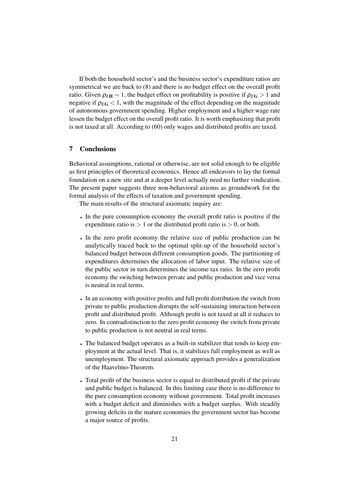If both the household sector's and the business sector's expenditure ratios are symmetrical we are back to (8) and there is no budget effect on the overall profit ratio. Given  $\rho_{EH} = 1$ , the budget effect on profitability is positive if  $\rho_{EG} > 1$  and negative if  $\rho_{EG}$  < 1, with the magnitude of the effect depending on the magnitude of autonomous government spending. Higher employment and a higher wage rate lessen the budget effect on the overall profit ratio. It is worth emphasizing that profit is not taxed at all. According to (60) only wages and distributed profits are taxed.

# 7 Conclusions

Behavioral assumptions, rational or otherwise, are not solid enough to be eligible as first principles of theoretical economics. Hence all endeavors to lay the formal foundation on a new site and at a deeper level actually need no further vindication. The present paper suggests three non-behavioral axioms as groundwork for the formal analysis of the effects of taxation and government spending.

The main results of the structural axiomatic inquiry are:

- In the pure consumption economy the overall profit ratio is positive if the expenditure ratio is  $> 1$  or the distributed profit ratio is  $> 0$ , or both.
- In the zero profit economy the relative size of public production can be analytically traced back to the optimal split-up of the household sector's balanced budget between different consumption goods. The partitioning of expenditures determines the allocation of labor input. The relative size of the public sector in turn determines the income tax ratio. In the zero profit economy the switching between private and public production and vice versa is neutral in real terms.
- In an economy with positive profits and full profit distribution the switch from private to public production disrupts the self-sustaining interaction between profit and distributed profit. Although profit is not taxed at all it reduces to zero. In contradistinction to the zero profit economy the switch from private to public production is not neutral in real terms.
- The balanced budget operates as a built-in stabilizer that tends to keep employment at the actual level. That is, it stabilizes full employment as well as unemployment. The structural axiomatic approach provides a generalization of the Haavelmo-Theorem.
- Total profit of the business sector is equal to distributed profit if the private and public budget is balanced. In this limiting case there is no difference to the pure consumption economy without government. Total profit increases with a budget deficit and diminishes with a budget surplus. With steadily growing deficits in the mature economies the government sector has become a major source of profits.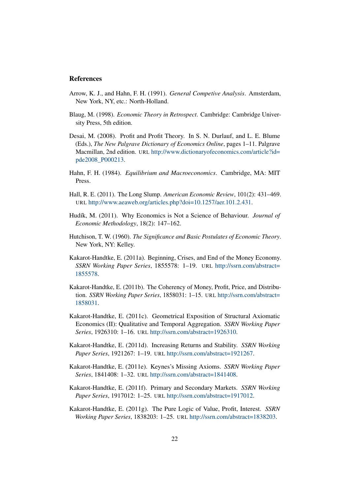#### References

- Arrow, K. J., and Hahn, F. H. (1991). *General Competive Analysis*. Amsterdam, New York, NY, etc.: North-Holland.
- Blaug, M. (1998). *Economic Theory in Retrospect*. Cambridge: Cambridge University Press, 5th edition.
- Desai, M. (2008). Profit and Profit Theory. In S. N. Durlauf, and L. E. Blume (Eds.), *The New Palgrave Dictionary of Economics Online*, pages 1–11. Palgrave Macmillan, 2nd edition. URL http://www.dictionaryofeconomics.com/article?id= pde2008\_P000213.
- Hahn, F. H. (1984). *Equilibrium and Macroeconomics*. Cambridge, MA: MIT Press.
- Hall, R. E. (2011). The Long Slump. *American Economic Review*, 101(2): 431–469. URL http://www.aeaweb.org/articles.php?doi=10.1257/aer.101.2.431.
- Hudík, M. (2011). Why Economics is Not a Science of Behaviour. *Journal of Economic Methodology*, 18(2): 147–162.
- Hutchison, T. W. (1960). *The Significance and Basic Postulates of Economic Theory*. New York, NY: Kelley.
- Kakarot-Handtke, E. (2011a). Beginning, Crises, and End of the Money Economy. *SSRN Working Paper Series*, 1855578: 1–19. URL http://ssrn.com/abstract= 1855578.
- Kakarot-Handtke, E. (2011b). The Coherency of Money, Profit, Price, and Distribution. *SSRN Working Paper Series*, 1858031: 1–15. URL http://ssrn.com/abstract= 1858031.
- Kakarot-Handtke, E. (2011c). Geometrical Exposition of Structural Axiomatic Economics (II): Qualitative and Temporal Aggregation. *SSRN Working Paper Series*, 1926310: 1–16. URL http://ssrn.com/abstract=1926310.
- Kakarot-Handtke, E. (2011d). Increasing Returns and Stability. *SSRN Working Paper Series*, 1921267: 1–19. URL http://ssrn.com/abstract=1921267.
- Kakarot-Handtke, E. (2011e). Keynes's Missing Axioms. *SSRN Working Paper Series*, 1841408: 1–32. URL http://ssrn.com/abstract=1841408.
- Kakarot-Handtke, E. (2011f). Primary and Secondary Markets. *SSRN Working Paper Series*, 1917012: 1–25. URL http://ssrn.com/abstract=1917012.
- Kakarot-Handtke, E. (2011g). The Pure Logic of Value, Profit, Interest. *SSRN Working Paper Series*, 1838203: 1–25. URL http://ssrn.com/abstract=1838203.